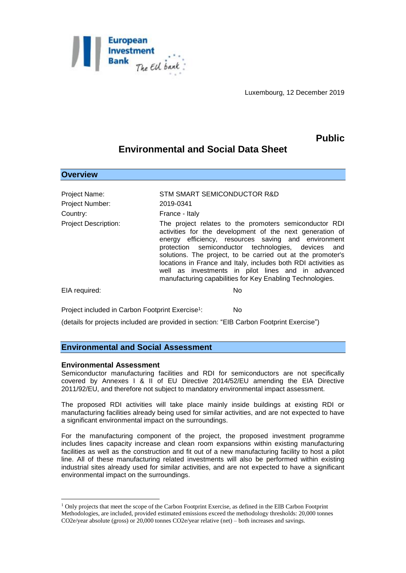

Luxembourg, 12 December 2019

**Public**

# **Environmental and Social Data Sheet**

## **Overview**

Project Name: STM SMART SEMICONDUCTOR R&D Project Number: 2019-0341 Country: France - Italy Project Description: The project relates to the promoters semiconductor RDI activities for the development of the next generation of energy efficiency, resources saving and environment protection semiconductor technologies, devices and solutions. The project, to be carried out at the promoter's locations in France and Italy, includes both RDI activities as well as investments in pilot lines and in advanced manufacturing capabilities for Key Enabling Technologies. EIA required: No

Project included in Carbon Footprint Exercise<sup>1</sup>: : No

(details for projects included are provided in section: "EIB Carbon Footprint Exercise")

### **Environmental and Social Assessment**

#### **Environmental Assessment**

1

Semiconductor manufacturing facilities and RDI for semiconductors are not specifically covered by Annexes I & II of EU Directive 2014/52/EU amending the EIA Directive 2011/92/EU, and therefore not subject to mandatory environmental impact assessment.

The proposed RDI activities will take place mainly inside buildings at existing RDI or manufacturing facilities already being used for similar activities, and are not expected to have a significant environmental impact on the surroundings.

For the manufacturing component of the project, the proposed investment programme includes lines capacity increase and clean room expansions within existing manufacturing facilities as well as the construction and fit out of a new manufacturing facility to host a pilot line. All of these manufacturing related investments will also be performed within existing industrial sites already used for similar activities, and are not expected to have a significant environmental impact on the surroundings.

<sup>1</sup> Only projects that meet the scope of the Carbon Footprint Exercise, as defined in the EIB Carbon Footprint Methodologies, are included, provided estimated emissions exceed the methodology thresholds: 20,000 tonnes CO2e/year absolute (gross) or 20,000 tonnes CO2e/year relative (net) – both increases and savings.